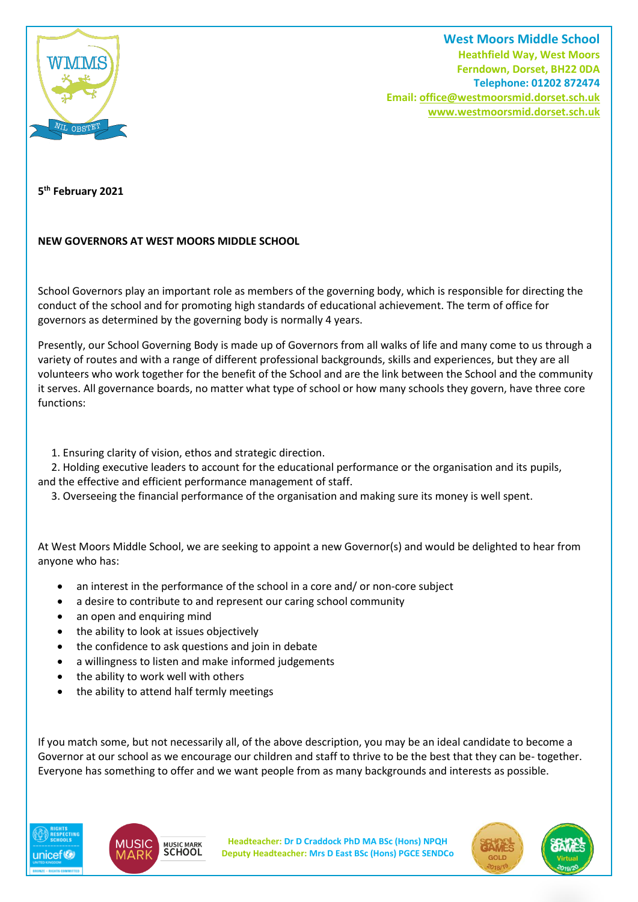

**West Moors Middle School Heathfield Way, West Moors Ferndown, Dorset, BH22 0DA Telephone: 01202 872474 Email[: office@westmoorsmid.dorset.sch.uk](mailto:office@westmoorsmid.dorset.sch.uk) www.westmoorsmid.dorset.sch.uk**

**5 th February 2021**

## **NEW GOVERNORS AT WEST MOORS MIDDLE SCHOOL**

School Governors play an important role as members of the governing body, which is responsible for directing the conduct of the school and for promoting high standards of educational achievement. The term of office for governors as determined by the governing body is normally 4 years.

Presently, our School Governing Body is made up of Governors from all walks of life and many come to us through a variety of routes and with a range of different professional backgrounds, skills and experiences, but they are all volunteers who work together for the benefit of the School and are the link between the School and the community it serves. All governance boards, no matter what type of school or how many schools they govern, have three core functions:

1. Ensuring clarity of vision, ethos and strategic direction.

 2. Holding executive leaders to account for the educational performance or the organisation and its pupils, and the effective and efficient performance management of staff.

3. Overseeing the financial performance of the organisation and making sure its money is well spent.

At West Moors Middle School, we are seeking to appoint a new Governor(s) and would be delighted to hear from anyone who has:

- an interest in the performance of the school in a core and/ or non-core subject
- a desire to contribute to and represent our caring school community
- an open and enquiring mind
- the ability to look at issues objectively
- the confidence to ask questions and join in debate
- a willingness to listen and make informed judgements
- the ability to work well with others
- the ability to attend half termly meetings

If you match some, but not necessarily all, of the above description, you may be an ideal candidate to become a Governor at our school as we encourage our children and staff to thrive to be the best that they can be- together. Everyone has something to offer and we want people from as many backgrounds and interests as possible.





**Headteacher: Dr D Craddock PhD MA BSc (Hons) NPQH Deputy Headteacher: Mrs D East BSc (Hons) PGCE SENDCo**